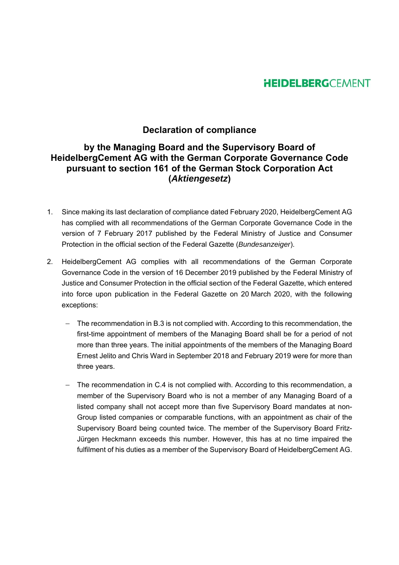## **HEIDELBERG**CEMENT

## **Declaration of compliance**

## **by the Managing Board and the Supervisory Board of HeidelbergCement AG with the German Corporate Governance Code pursuant to section 161 of the German Stock Corporation Act (***Aktiengesetz***)**

- 1. Since making its last declaration of compliance dated February 2020, HeidelbergCement AG has complied with all recommendations of the German Corporate Governance Code in the version of 7 February 2017 published by the Federal Ministry of Justice and Consumer Protection in the official section of the Federal Gazette (*Bundesanzeiger*).
- 2. HeidelbergCement AG complies with all recommendations of the German Corporate Governance Code in the version of 16 December 2019 published by the Federal Ministry of Justice and Consumer Protection in the official section of the Federal Gazette, which entered into force upon publication in the Federal Gazette on 20 March 2020, with the following exceptions:
	- The recommendation in B.3 is not complied with. According to this recommendation, the first-time appointment of members of the Managing Board shall be for a period of not more than three years. The initial appointments of the members of the Managing Board Ernest Jelito and Chris Ward in September 2018 and February 2019 were for more than three years.
	- The recommendation in C.4 is not complied with. According to this recommendation, a member of the Supervisory Board who is not a member of any Managing Board of a listed company shall not accept more than five Supervisory Board mandates at non-Group listed companies or comparable functions, with an appointment as chair of the Supervisory Board being counted twice. The member of the Supervisory Board Fritz-Jürgen Heckmann exceeds this number. However, this has at no time impaired the fulfilment of his duties as a member of the Supervisory Board of HeidelbergCement AG.